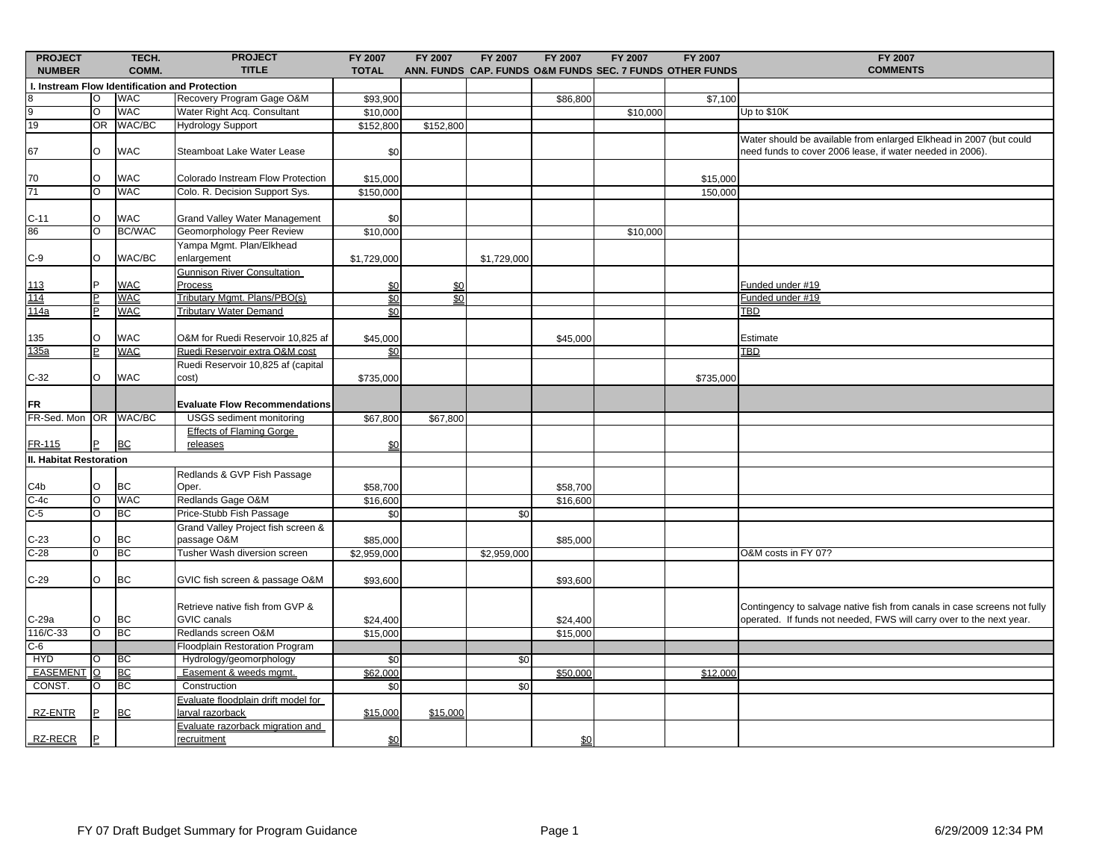| <b>PROJECT</b>                                 |                                                    | TECH.             | <b>PROJECT</b>                                         | FY 2007              | <b>FY 2007</b>    | <b>FY 2007</b> | <b>FY 2007</b>       | <b>FY 2007</b>                                           | <b>FY 2007</b> | <b>FY 2007</b>                                                                                                                                   |
|------------------------------------------------|----------------------------------------------------|-------------------|--------------------------------------------------------|----------------------|-------------------|----------------|----------------------|----------------------------------------------------------|----------------|--------------------------------------------------------------------------------------------------------------------------------------------------|
| <b>NUMBER</b>                                  |                                                    | COMM.             | <b>TITLE</b>                                           | <b>TOTAL</b>         |                   |                |                      | ANN. FUNDS CAP. FUNDS O&M FUNDS SEC. 7 FUNDS OTHER FUNDS |                | <b>COMMENTS</b>                                                                                                                                  |
| I. Instream Flow Identification and Protection |                                                    |                   |                                                        |                      |                   |                |                      |                                                          |                |                                                                                                                                                  |
| 8                                              | $\circ$                                            | <b>WAC</b>        | Recovery Program Gage O&M                              | \$93,900             |                   |                | \$86,800             |                                                          | \$7,100        |                                                                                                                                                  |
| 9                                              | O                                                  | <b>WAC</b>        | Water Right Acq. Consultant                            | \$10,000             |                   |                |                      | \$10,000                                                 |                | Up to \$10K                                                                                                                                      |
| 19                                             | OR                                                 | WAC/BC            | <b>Hydrology Support</b>                               | \$152,800            | \$152,800         |                |                      |                                                          |                |                                                                                                                                                  |
| 67                                             | $\circ$                                            | <b>WAC</b>        | Steamboat Lake Water Lease                             | \$0                  |                   |                |                      |                                                          |                | Water should be available from enlarged Elkhead in 2007 (but could<br>need funds to cover 2006 lease, if water needed in 2006).                  |
| 70                                             | O                                                  | <b>WAC</b>        | Colorado Instream Flow Protection                      | \$15,000             |                   |                |                      |                                                          | \$15,000       |                                                                                                                                                  |
| 71                                             | Ō                                                  | <b>WAC</b>        | Colo. R. Decision Support Sys.                         | \$150,000            |                   |                |                      |                                                          | 150,000        |                                                                                                                                                  |
| $C-11$                                         | $\circ$                                            | <b>WAC</b>        | Grand Valley Water Management                          | \$0                  |                   |                |                      |                                                          |                |                                                                                                                                                  |
| 86                                             | O                                                  | <b>BC/WAC</b>     | Geomorphology Peer Review                              | \$10,000             |                   |                |                      | \$10,000                                                 |                |                                                                                                                                                  |
|                                                |                                                    |                   | Yampa Mgmt. Plan/Elkhead                               |                      |                   |                |                      |                                                          |                |                                                                                                                                                  |
| $C-9$                                          | $\circ$                                            | WAC/BC            | enlargement                                            | \$1,729,000          |                   | \$1,729,000    |                      |                                                          |                |                                                                                                                                                  |
|                                                | <b>P</b>                                           |                   | <b>Gunnison River Consultation</b>                     |                      |                   |                |                      |                                                          |                |                                                                                                                                                  |
| <u> 113</u>                                    |                                                    | <b>WAC</b><br>WAC | <b>Process</b><br>Tributary Mgmt. Plans/PBO(s)         | \$0                  | $\underline{\$0}$ |                |                      |                                                          |                | Funded under #19                                                                                                                                 |
| <u> 114</u>                                    | $\overline{\mathsf{E}}$<br>$\overline{\mathsf{P}}$ | <b>WAC</b>        | <b>Tributary Water Demand</b>                          | \$0                  | \$0               |                |                      |                                                          |                | Funded under #19<br>TBD                                                                                                                          |
| <u> 114a</u>                                   |                                                    |                   |                                                        | \$0                  |                   |                |                      |                                                          |                |                                                                                                                                                  |
| 135                                            | O                                                  | <b>WAC</b>        | O&M for Ruedi Reservoir 10,825 af                      | \$45,000             |                   |                | \$45,000             |                                                          |                | Estimate                                                                                                                                         |
| <u> 135a</u>                                   | $\overline{\mathsf{P}}$                            | <b>WAC</b>        | Ruedi Reservoir extra O&M cost                         | \$0                  |                   |                |                      |                                                          |                | <b>TBD</b>                                                                                                                                       |
| $C-32$                                         | O                                                  | <b>WAC</b>        | Ruedi Reservoir 10,825 af (capital<br>cost)            | \$735,000            |                   |                |                      |                                                          | \$735,000      |                                                                                                                                                  |
| FR                                             |                                                    |                   | <b>Evaluate Flow Recommendations</b>                   |                      |                   |                |                      |                                                          |                |                                                                                                                                                  |
| FR-Sed. Mon OR                                 |                                                    | WAC/BC            | <b>USGS</b> sediment monitoring                        | \$67,800             | \$67,800          |                |                      |                                                          |                |                                                                                                                                                  |
| FR-115                                         | P                                                  | <b>BC</b>         | <b>Effects of Flaming Gorge</b><br>releases            | $\frac{60}{20}$      |                   |                |                      |                                                          |                |                                                                                                                                                  |
| II. Habitat Restoration                        |                                                    |                   |                                                        |                      |                   |                |                      |                                                          |                |                                                                                                                                                  |
| C4b                                            | $\circ$                                            | ВC                | Redlands & GVP Fish Passage<br>Oper.                   | \$58,700             |                   |                | \$58,700             |                                                          |                |                                                                                                                                                  |
| $C-4c$                                         | O                                                  | <b>WAC</b>        | Redlands Gage O&M                                      | \$16,600             |                   |                | \$16,600             |                                                          |                |                                                                                                                                                  |
| $C-5$                                          | O                                                  | BC                | Price-Stubb Fish Passage                               | \$0                  |                   | \$0            |                      |                                                          |                |                                                                                                                                                  |
| $C-23$                                         | $\circ$                                            | ВC                | Grand Valley Project fish screen &<br>passage O&M      | \$85,000             |                   |                | \$85,000             |                                                          |                |                                                                                                                                                  |
| $C-28$                                         | $\overline{0}$                                     | BC                | Tusher Wash diversion screen                           | \$2,959,000          |                   | \$2,959,000    |                      |                                                          |                | O&M costs in FY 07?                                                                                                                              |
| $C-29$                                         | $\circ$                                            | ВC                | GVIC fish screen & passage O&M                         | \$93,600             |                   |                | \$93,600             |                                                          |                |                                                                                                                                                  |
|                                                | $\circ$                                            | BC                | Retrieve native fish from GVP &<br><b>GVIC</b> canals  |                      |                   |                |                      |                                                          |                | Contingency to salvage native fish from canals in case screens not fully<br>operated. If funds not needed, FWS will carry over to the next year. |
| C-29a<br>116/C-33                              | $\overline{\circ}$                                 | ВC                | Redlands screen O&M                                    | \$24,400<br>\$15,000 |                   |                | \$24,400<br>\$15,000 |                                                          |                |                                                                                                                                                  |
| $C-6$                                          |                                                    |                   | Floodplain Restoration Program                         |                      |                   |                |                      |                                                          |                |                                                                                                                                                  |
| <b>HYD</b>                                     | O                                                  | ВC                | Hydrology/geomorphology                                | \$0                  |                   | \$0            |                      |                                                          |                |                                                                                                                                                  |
| EASEMENT O                                     |                                                    | ВC                | Easement & weeds mgmt.                                 | \$62,000             |                   |                | \$50,000             |                                                          | \$12,000       |                                                                                                                                                  |
| CONST.                                         | O                                                  | ВC                | Construction                                           | \$0                  |                   | \$0            |                      |                                                          |                |                                                                                                                                                  |
| RZ-ENTR                                        |                                                    | <b>BC</b>         | Evaluate floodplain drift model for<br>arval razorback | \$15,000             | \$15,000          |                |                      |                                                          |                |                                                                                                                                                  |
| <b>RZ-RECR</b>                                 |                                                    |                   | Evaluate razorback migration and<br>recruitment        | \$0                  |                   |                | \$0                  |                                                          |                |                                                                                                                                                  |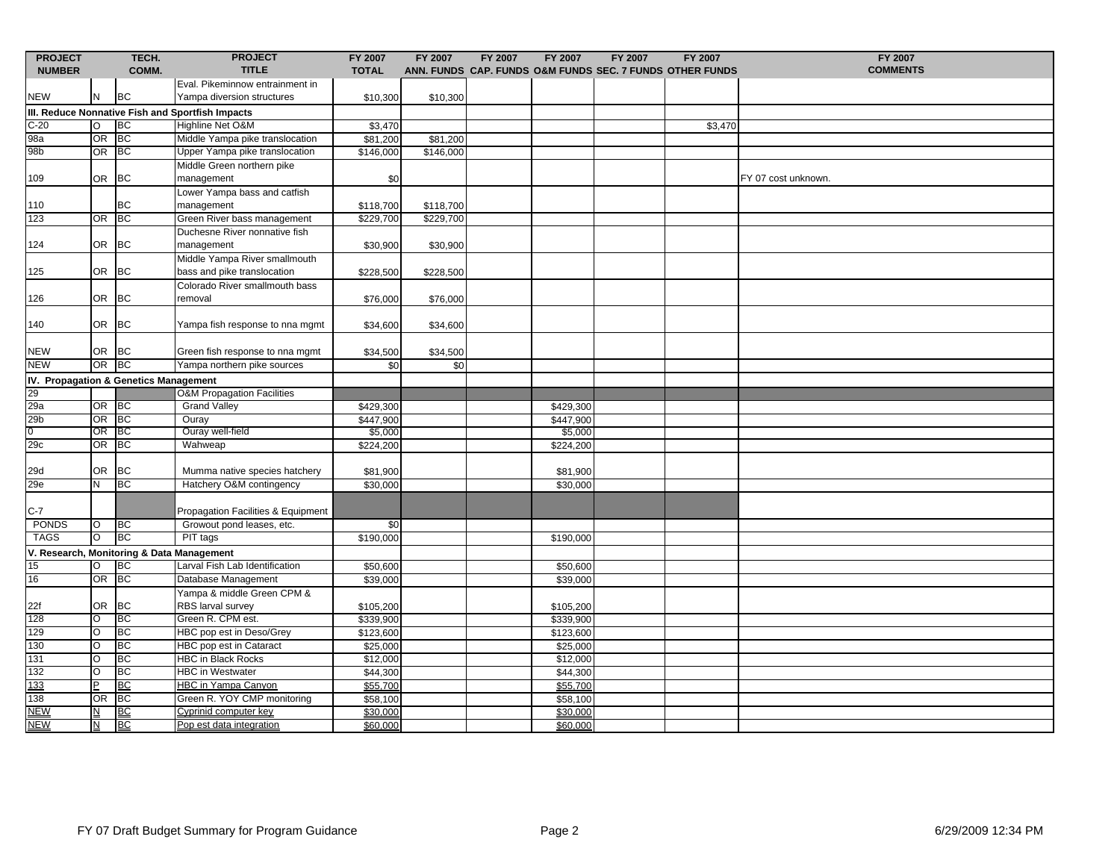| <b>PROJECT</b>                                   |                         | TECH.     | <b>PROJECT</b>                                                | FY 2007                | <b>FY 2007</b>         | FY 2007 | FY 2007              | FY 2007 | FY 2007                                                  | FY 2007             |
|--------------------------------------------------|-------------------------|-----------|---------------------------------------------------------------|------------------------|------------------------|---------|----------------------|---------|----------------------------------------------------------|---------------------|
| <b>NUMBER</b>                                    |                         | COMM.     | <b>TITLE</b>                                                  | <b>TOTAL</b>           |                        |         |                      |         | ANN. FUNDS CAP. FUNDS O&M FUNDS SEC. 7 FUNDS OTHER FUNDS | <b>COMMENTS</b>     |
| <b>NEW</b>                                       | N                       | BC        | Eval. Pikeminnow entrainment in<br>Yampa diversion structures | \$10,300               | \$10,300               |         |                      |         |                                                          |                     |
| III. Reduce Nonnative Fish and Sportfish Impacts |                         |           |                                                               |                        |                        |         |                      |         |                                                          |                     |
| $C-20$                                           | O                       | <b>BC</b> | Highline Net O&M                                              | \$3,470                |                        |         |                      |         | \$3,470                                                  |                     |
| 98a                                              | <b>OR</b>               | BC        | Middle Yampa pike translocation                               | \$81,200               | \$81,200               |         |                      |         |                                                          |                     |
| 98b                                              | OR                      | <b>BC</b> | Upper Yampa pike translocation                                | \$146,000              | \$146,000              |         |                      |         |                                                          |                     |
|                                                  |                         |           | Middle Green northern pike                                    |                        |                        |         |                      |         |                                                          |                     |
| 109                                              | <b>OR</b>               | BC        | management                                                    | \$0                    |                        |         |                      |         |                                                          | FY 07 cost unknown. |
| 110                                              |                         | BС        | Lower Yampa bass and catfish<br>management                    |                        |                        |         |                      |         |                                                          |                     |
| 123                                              | OR BC                   |           | Green River bass management                                   | \$118,700<br>\$229,700 | \$118,700<br>\$229,700 |         |                      |         |                                                          |                     |
|                                                  |                         |           | Duchesne River nonnative fish                                 |                        |                        |         |                      |         |                                                          |                     |
| 124                                              | <b>OR</b>               | <b>BC</b> | management                                                    | \$30,900               | \$30,900               |         |                      |         |                                                          |                     |
|                                                  |                         |           | Middle Yampa River smallmouth                                 |                        |                        |         |                      |         |                                                          |                     |
| 125                                              | <b>OR</b>               | <b>BC</b> | bass and pike translocation                                   | \$228,500              | \$228,500              |         |                      |         |                                                          |                     |
|                                                  |                         |           | Colorado River smallmouth bass                                |                        |                        |         |                      |         |                                                          |                     |
| 126                                              | OR                      | <b>BC</b> | removal                                                       | \$76,000               | \$76,000               |         |                      |         |                                                          |                     |
| 140                                              | <b>OR</b>               | <b>BC</b> | Yampa fish response to nna mgmt                               | \$34,600               | \$34,600               |         |                      |         |                                                          |                     |
|                                                  |                         |           |                                                               |                        |                        |         |                      |         |                                                          |                     |
| <b>NEW</b>                                       | OR BC                   |           | Green fish response to nna mgmt                               | \$34,500               | \$34,500               |         |                      |         |                                                          |                     |
| <b>NEW</b>                                       | OR BC                   |           | Yampa northern pike sources                                   | \$0                    | \$0                    |         |                      |         |                                                          |                     |
| IV. Propagation & Genetics Management            |                         |           |                                                               |                        |                        |         |                      |         |                                                          |                     |
| 29<br>29a                                        |                         |           | <b>O&amp;M Propagation Facilities</b>                         |                        |                        |         |                      |         |                                                          |                     |
|                                                  | OR BC                   |           | <b>Grand Valley</b>                                           | \$429,300              |                        |         | \$429,300            |         |                                                          |                     |
| $\frac{29b}{0}$                                  | OR                      | BC        | Ouray                                                         | \$447,900              |                        |         | \$447,900            |         |                                                          |                     |
|                                                  | OR                      | - IBC     | Ouray well-field                                              | \$5,000                |                        |         | \$5,000              |         |                                                          |                     |
| 29c                                              | <b>OR</b>               | <b>BC</b> | Wahweap                                                       | \$224,200              |                        |         | \$224,200            |         |                                                          |                     |
| 29d                                              | <b>OR</b>               | ВC        | Mumma native species hatchery                                 | \$81,900               |                        |         | \$81,900             |         |                                                          |                     |
| 29e                                              | N                       | BC        | Hatchery O&M contingency                                      | \$30,000               |                        |         | \$30,000             |         |                                                          |                     |
|                                                  |                         |           |                                                               |                        |                        |         |                      |         |                                                          |                     |
| $C-7$                                            |                         |           | Propagation Facilities & Equipment                            |                        |                        |         |                      |         |                                                          |                     |
| <b>PONDS</b>                                     | $\circ$                 | <b>BC</b> | Growout pond leases, etc.                                     | \$0                    |                        |         |                      |         |                                                          |                     |
| <b>TAGS</b>                                      | O                       | <b>BC</b> | PIT tags                                                      | \$190,000              |                        |         | \$190,000            |         |                                                          |                     |
| V. Research, Monitoring & Data Management        |                         |           |                                                               |                        |                        |         |                      |         |                                                          |                     |
| 15                                               | O                       | <b>BC</b> | Larval Fish Lab Identification                                | \$50,600               |                        |         | \$50,600             |         |                                                          |                     |
| 16                                               | OR                      | BC        | Database Management                                           | \$39,000               |                        |         | \$39,000             |         |                                                          |                     |
| 22f                                              | <b>OR</b>               | <b>BC</b> | Yampa & middle Green CPM &<br>RBS larval survey               | \$105,200              |                        |         | \$105,200            |         |                                                          |                     |
| 128                                              | O                       | <b>BC</b> | Green R. CPM est.                                             | \$339,900              |                        |         | \$339,900            |         |                                                          |                     |
| 129                                              | O                       | <b>BC</b> | HBC pop est in Deso/Grey                                      | \$123,600              |                        |         | \$123,600            |         |                                                          |                     |
| 130                                              | O                       | ВC        | HBC pop est in Cataract                                       | \$25,000               |                        |         | $\overline{$}25,000$ |         |                                                          |                     |
| 131                                              | O                       | <b>BC</b> | <b>HBC in Black Rocks</b>                                     | \$12,000               |                        |         | \$12,000             |         |                                                          |                     |
| 132                                              | O                       | BC        | <b>HBC</b> in Westwater                                       | \$44,300               |                        |         | \$44,300             |         |                                                          |                     |
| 133                                              | <b>P</b>                | <b>BC</b> | <b>HBC in Yampa Canyon</b>                                    | \$55,700               |                        |         | \$55,700             |         |                                                          |                     |
| 138                                              | <b>OR</b>               | BC        | Green R. YOY CMP monitoring                                   | \$58,100               |                        |         | \$58,100             |         |                                                          |                     |
| <b>NEW</b>                                       | $\overline{\mathsf{M}}$ | BC        | Cyprinid computer key                                         | \$30,000               |                        |         | \$30,000             |         |                                                          |                     |
| <b>NEW</b>                                       | $\overline{\mathsf{M}}$ | <b>BC</b> | Pop est data integration                                      | \$60,000               |                        |         | \$60,000             |         |                                                          |                     |
|                                                  |                         |           |                                                               |                        |                        |         |                      |         |                                                          |                     |